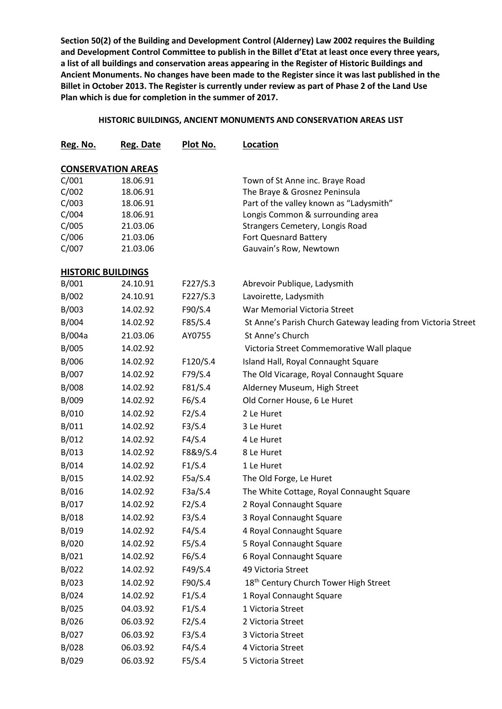**Section 50(2) of the Building and Development Control (Alderney) Law 2002 requires the Building and Development Control Committee to publish in the Billet d'Etat at least once every three years, a list of all buildings and conservation areas appearing in the Register of Historic Buildings and Ancient Monuments. No changes have been made to the Register since it was last published in the Billet in October 2013. The Register is currently under review as part of Phase 2 of the Land Use Plan which is due for completion in the summer of 2017.**

## **HISTORIC BUILDINGS, ANCIENT MONUMENTS AND CONSERVATION AREAS LIST**

| Reg. No.                  | Reg. Date                 | Plot No. | Location                                                     |
|---------------------------|---------------------------|----------|--------------------------------------------------------------|
|                           | <b>CONSERVATION AREAS</b> |          |                                                              |
| C/001                     | 18.06.91                  |          | Town of St Anne inc. Braye Road                              |
| C/002                     | 18.06.91                  |          | The Braye & Grosnez Peninsula                                |
| C/003                     | 18.06.91                  |          | Part of the valley known as "Ladysmith"                      |
| C/004                     | 18.06.91                  |          | Longis Common & surrounding area                             |
| C/005                     | 21.03.06                  |          | Strangers Cemetery, Longis Road                              |
| C/006                     | 21.03.06                  |          | Fort Quesnard Battery                                        |
| C/007                     | 21.03.06                  |          | Gauvain's Row, Newtown                                       |
| <b>HISTORIC BUILDINGS</b> |                           |          |                                                              |
| B/001                     | 24.10.91                  | F227/S.3 | Abrevoir Publique, Ladysmith                                 |
| B/002                     | 24.10.91                  | F227/S.3 | Lavoirette, Ladysmith                                        |
| B/003                     | 14.02.92                  | F90/S.4  | War Memorial Victoria Street                                 |
| B/004                     | 14.02.92                  | F85/S.4  | St Anne's Parish Church Gateway leading from Victoria Street |
| B/004a                    | 21.03.06                  | AY0755   | St Anne's Church                                             |
| B/005                     | 14.02.92                  |          | Victoria Street Commemorative Wall plaque                    |
| B/006                     | 14.02.92                  | F120/S.4 | Island Hall, Royal Connaught Square                          |
| B/007                     | 14.02.92                  | F79/S.4  | The Old Vicarage, Royal Connaught Square                     |
| B/008                     | 14.02.92                  | F81/S.4  | Alderney Museum, High Street                                 |
| B/009                     | 14.02.92                  | F6/S.4   | Old Corner House, 6 Le Huret                                 |
| B/010                     | 14.02.92                  | F2/S.4   | 2 Le Huret                                                   |
| B/011                     | 14.02.92                  | F3/S.4   | 3 Le Huret                                                   |
| B/012                     | 14.02.92                  | F4/S.4   | 4 Le Huret                                                   |
| B/013                     | 14.02.92                  | F8&9/S.4 | 8 Le Huret                                                   |
| B/014                     | 14.02.92                  | F1/S.4   | 1 Le Huret                                                   |
| B/015                     | 14.02.92                  | F5a/S.4  | The Old Forge, Le Huret                                      |
| B/016                     | 14.02.92                  | F3a/S.4  | The White Cottage, Royal Connaught Square                    |
| B/017                     | 14.02.92                  | F2/S.4   | 2 Royal Connaught Square                                     |
| B/018                     | 14.02.92                  | F3/S.4   | 3 Royal Connaught Square                                     |
| B/019                     | 14.02.92                  | F4/S.4   | 4 Royal Connaught Square                                     |
| B/020                     | 14.02.92                  | F5/S.4   | 5 Royal Connaught Square                                     |
| B/021                     | 14.02.92                  | F6/S.4   | 6 Royal Connaught Square                                     |
| B/022                     | 14.02.92                  | F49/S.4  | 49 Victoria Street                                           |
| B/023                     | 14.02.92                  | F90/S.4  | 18 <sup>th</sup> Century Church Tower High Street            |
| B/024                     | 14.02.92                  | F1/S.4   | 1 Royal Connaught Square                                     |
| B/025                     | 04.03.92                  | F1/S.4   | 1 Victoria Street                                            |
| B/026                     | 06.03.92                  | F2/S.4   | 2 Victoria Street                                            |
| B/027                     | 06.03.92                  | F3/S.4   | 3 Victoria Street                                            |
| B/028                     | 06.03.92                  | F4/S.4   | 4 Victoria Street                                            |
| B/029                     | 06.03.92                  | F5/S.4   | 5 Victoria Street                                            |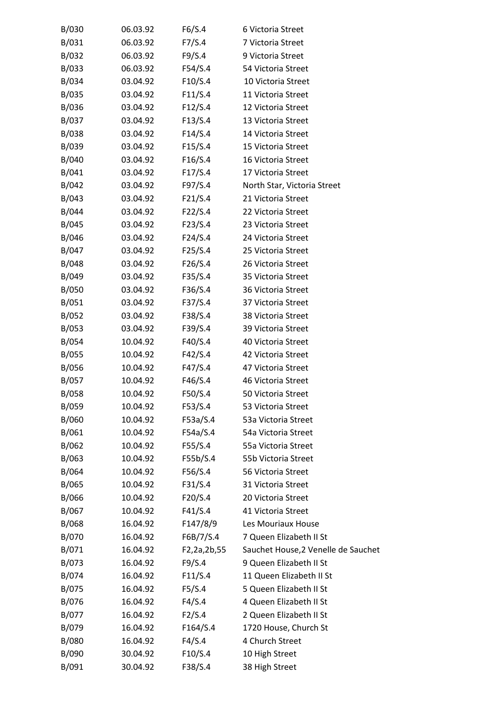| B/030 | 06.03.92 | F6/S.4      | 6 Victoria Street                   |
|-------|----------|-------------|-------------------------------------|
| B/031 | 06.03.92 | F7/S.4      | 7 Victoria Street                   |
| B/032 | 06.03.92 | F9/S.4      | 9 Victoria Street                   |
| B/033 | 06.03.92 | F54/S.4     | 54 Victoria Street                  |
| B/034 | 03.04.92 | F10/S.4     | 10 Victoria Street                  |
| B/035 | 03.04.92 | F11/S.4     | 11 Victoria Street                  |
| B/036 | 03.04.92 | F12/S.4     | 12 Victoria Street                  |
| B/037 | 03.04.92 | F13/S.4     | 13 Victoria Street                  |
| B/038 | 03.04.92 | F14/S.4     | 14 Victoria Street                  |
| B/039 | 03.04.92 | F15/S.4     | 15 Victoria Street                  |
| B/040 | 03.04.92 | F16/S.4     | 16 Victoria Street                  |
| B/041 | 03.04.92 | F17/S.4     | 17 Victoria Street                  |
| B/042 | 03.04.92 | F97/S.4     | North Star, Victoria Street         |
| B/043 | 03.04.92 | F21/S.4     | 21 Victoria Street                  |
| B/044 | 03.04.92 | F22/S.4     | 22 Victoria Street                  |
| B/045 | 03.04.92 | F23/S.4     | 23 Victoria Street                  |
| B/046 | 03.04.92 | F24/S.4     | 24 Victoria Street                  |
| B/047 | 03.04.92 | F25/S.4     | 25 Victoria Street                  |
| B/048 | 03.04.92 | F26/S.4     | 26 Victoria Street                  |
| B/049 | 03.04.92 | F35/S.4     | 35 Victoria Street                  |
| B/050 | 03.04.92 | F36/S.4     | 36 Victoria Street                  |
| B/051 | 03.04.92 | F37/S.4     | 37 Victoria Street                  |
| B/052 | 03.04.92 | F38/S.4     | 38 Victoria Street                  |
| B/053 | 03.04.92 | F39/S.4     | 39 Victoria Street                  |
| B/054 | 10.04.92 | F40/S.4     | 40 Victoria Street                  |
| B/055 | 10.04.92 | F42/S.4     | 42 Victoria Street                  |
| B/056 | 10.04.92 | F47/S.4     | 47 Victoria Street                  |
| B/057 | 10.04.92 | F46/S.4     | 46 Victoria Street                  |
| B/058 | 10.04.92 | F50/S.4     | 50 Victoria Street                  |
| B/059 | 10.04.92 | F53/S.4     | 53 Victoria Street                  |
| B/060 | 10.04.92 | F53a/S.4    | 53a Victoria Street                 |
| B/061 | 10.04.92 | F54a/S.4    | 54a Victoria Street                 |
| B/062 | 10.04.92 | F55/S.4     | 55a Victoria Street                 |
| B/063 | 10.04.92 | F55b/S.4    | 55b Victoria Street                 |
| B/064 | 10.04.92 | F56/S.4     | 56 Victoria Street                  |
| B/065 | 10.04.92 | F31/S.4     | 31 Victoria Street                  |
| B/066 | 10.04.92 | F20/S.4     | 20 Victoria Street                  |
| B/067 | 10.04.92 | F41/S.4     | 41 Victoria Street                  |
| B/068 | 16.04.92 | F147/8/9    | Les Mouriaux House                  |
| B/070 | 16.04.92 | F6B/7/S.4   | 7 Queen Elizabeth II St             |
| B/071 | 16.04.92 | F2,2a,2b,55 | Sauchet House, 2 Venelle de Sauchet |
| B/073 | 16.04.92 | F9/S.4      | 9 Queen Elizabeth II St             |
| B/074 | 16.04.92 | F11/S.4     | 11 Queen Elizabeth II St            |
| B/075 | 16.04.92 | F5/S.4      | 5 Queen Elizabeth II St             |
| B/076 | 16.04.92 | F4/S.4      | 4 Queen Elizabeth II St             |
| B/077 | 16.04.92 | F2/S.4      | 2 Queen Elizabeth II St             |
| B/079 | 16.04.92 | F164/S.4    | 1720 House, Church St               |
| B/080 | 16.04.92 | F4/S.4      | 4 Church Street                     |
| B/090 | 30.04.92 | F10/S.4     | 10 High Street                      |
| B/091 | 30.04.92 | F38/S.4     | 38 High Street                      |